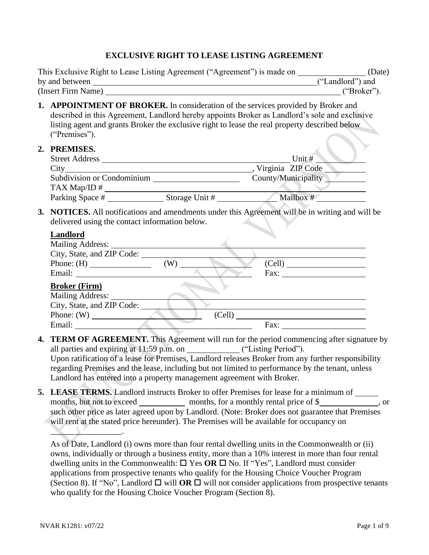#### **EXCLUSIVE RIGHT TO LEASE LISTING AGREEMENT**

| This Exclusive Right to Lease Listing Agreement ("Agreement") is made on | (Date)           |
|--------------------------------------------------------------------------|------------------|
| by and between                                                           | ("Landlord") and |
| (Insert Firm Name)                                                       | ("Broker")       |

- **1. APPOINTMENT OF BROKER.** In consideration of the services provided by Broker and described in this Agreement, Landlord hereby appoints Broker as Landlord's sole and exclusive listing agent and grants Broker the exclusive right to lease the real property described below ("Premises").
- **2. PREMISES.**

| Г КЕЛИЈОЕО.                |                |                     |
|----------------------------|----------------|---------------------|
| <b>Street Address</b>      |                | Unit $#$            |
| City                       |                | Virginia ZIP Code   |
| Subdivision or Condominium |                | County/Municipality |
| TAX Map/ID $#$             |                |                     |
| Parking Space #            | Storage Unit # | Mailbox #           |

**3. NOTICES.** All notifications and amendments under this Agreement will be in writing and will be delivered using the contact information below.

#### **Landlord**

| Mailing Address:           |        |                                                                                                                                                                                                                                |
|----------------------------|--------|--------------------------------------------------------------------------------------------------------------------------------------------------------------------------------------------------------------------------------|
| City, State, and ZIP Code: |        |                                                                                                                                                                                                                                |
|                            | (W)    | (Cell)                                                                                                                                                                                                                         |
|                            |        | Fax: The contract of the contract of the contract of the contract of the contract of the contract of the contract of the contract of the contract of the contract of the contract of the contract of the contract of the contr |
| <b>Broker (Firm)</b>       |        |                                                                                                                                                                                                                                |
| Mailing Address:           |        |                                                                                                                                                                                                                                |
| City, State, and ZIP Code: |        |                                                                                                                                                                                                                                |
|                            | (Cell) |                                                                                                                                                                                                                                |
| Email:                     |        | Fax:                                                                                                                                                                                                                           |

- **4. TERM OF AGREEMENT.** This Agreement will run for the period commencing after signature by all parties and expiring at 11:59 p.m. on ("Listing Period"). Upon ratification of a lease for Premises, Landlord releases Broker from any further responsibility regarding Premises and the lease, including but not limited to performance by the tenant, unless Landlord has entered into a property management agreement with Broker.
- **5. LEASE TERMS.** Landlord instructs Broker to offer Premises for lease for a minimum of months, but not to exceed months, for a monthly rental price of \$, or such other price as later agreed upon by Landlord. (Note: Broker does not guarantee that Premises will rent at the stated price hereunder). The Premises will be available for occupancy on

As of Date, Landlord (i) owns more than four rental dwelling units in the Commonwealth or (ii) owns, individually or through a business entity, more than a 10% interest in more than four rental dwelling units in the Commonwealth:  $\Box$  Yes OR  $\Box$  No. If "Yes", Landlord must consider applications from prospective tenants who qualify for the Housing Choice Voucher Program (Section 8). If "No", Landlord  $\Box$  will **OR**  $\Box$  will not consider applications from prospective tenants who qualify for the Housing Choice Voucher Program (Section 8).

 $\blacksquare$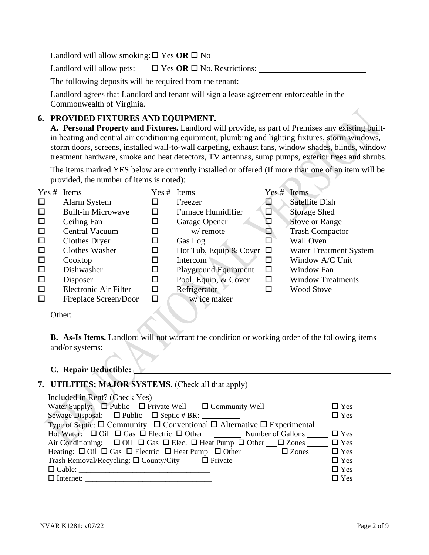Landlord will allow smoking:  $\square$  Yes OR  $\square$  No

Landlord will allow pets:  $\Box$  Yes OR  $\Box$  No. Restrictions:

The following deposits will be required from the tenant:

Landlord agrees that Landlord and tenant will sign a lease agreement enforceable in the Commonwealth of Virginia.

### **6. PROVIDED FIXTURES AND EQUIPMENT.**

**A. Personal Property and Fixtures.** Landlord will provide, as part of Premises any existing builtin heating and central air conditioning equipment, plumbing and lighting fixtures, storm windows, storm doors, screens, installed wall-to-wall carpeting, exhaust fans, window shades, blinds, window treatment hardware, smoke and heat detectors, TV antennas, sump pumps, exterior trees and shrubs.

The items marked YES below are currently installed or offered (If more than one of an item will be provided, the number of items is noted):

| Yes #  | Items                     | Yes # | Items                         | Yes #  | Items                         |
|--------|---------------------------|-------|-------------------------------|--------|-------------------------------|
| $\Box$ | Alarm System              |       | Freezer                       |        | <b>Satellite Dish</b>         |
| $\Box$ | <b>Built-in Microwave</b> |       | <b>Furnace Humidifier</b>     | $\Box$ | Storage Shed                  |
| $\Box$ | Ceiling Fan               |       | Garage Opener                 | ⊡      | <b>Stove or Range</b>         |
| $\Box$ | <b>Central Vacuum</b>     |       | w/ remote                     | ⊡      | <b>Trash Compactor</b>        |
| $\Box$ | Clothes Dryer             | □     | Gas Log                       | □      | Wall Oven                     |
| $\Box$ | Clothes Washer            | □     | Hot Tub, Equip & Cover $\Box$ |        | <b>Water Treatment System</b> |
| $\Box$ | Cooktop                   | ப     | Intercom                      | ப      | Window A/C Unit               |
| $\Box$ | Dishwasher                |       | <b>Playground Equipment</b>   | □      | <b>Window Fan</b>             |
| $\Box$ | Disposer                  | □     | Pool, Equip, & Cover          | $\Box$ | <b>Window Treatments</b>      |
| $\Box$ | Electronic Air Filter     | ◻     | Refrigerator                  | □      | <b>Wood Stove</b>             |
| $\Box$ | Fireplace Screen/Door     | П     | w/ice maker                   |        |                               |
|        | Other:                    |       |                               |        |                               |

**B. As-Is Items.** Landlord will not warrant the condition or working order of the following items and/or systems:

#### **C. Repair Deductible:**

### **7. UTILITIES; MAJOR SYSTEMS.** (Check all that apply)

| Included in Rent? (Check Yes)                                                                                      |            |
|--------------------------------------------------------------------------------------------------------------------|------------|
| Water Supply: $\Box$ Public $\Box$ Private Well $\Box$ Community Well                                              | $\Box$ Yes |
| Sewage Disposal: $\Box$ Public $\Box$ Septic # BR:                                                                 | $\Box$ Yes |
| Type of Septic: $\square$ Community $\square$ Conventional $\square$ Alternative $\square$ Experimental            |            |
| Hot Water: $\Box$ Oil $\Box$ Gas $\Box$ Electric $\Box$ Other Number of Gallons $\Box$ T Yes                       |            |
| Air Conditioning: $\Box$ Oil $\Box$ Gas $\Box$ Elec. $\Box$ Heat Pump $\Box$ Other $\Box$ Zones $\Box$ Yes         |            |
| Heating: $\Box$ Oil $\Box$ Gas $\Box$ Electric $\Box$ Heat Pump $\Box$ Other $\Box$ $\Box$ Zones $\Box$ $\Box$ Yes |            |
| Trash Removal/Recycling: $\Box$ County/City $\Box$ Private                                                         | $\Box$ Yes |
|                                                                                                                    | $\Box$ Yes |
| $\Box$ Internet:                                                                                                   | $\Box$ Yes |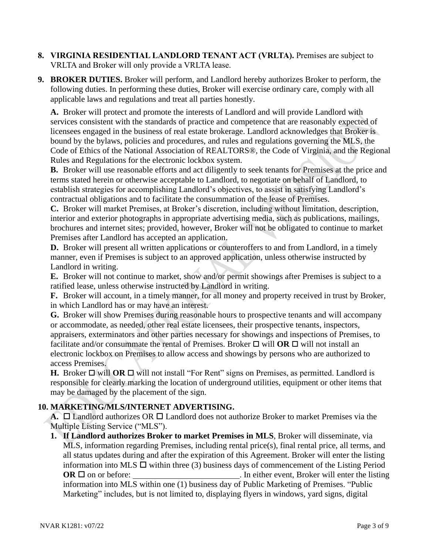- **8. VIRGINIA RESIDENTIAL LANDLORD TENANT ACT (VRLTA).** Premises are subject to VRLTA and Broker will only provide a VRLTA lease.
- **9. BROKER DUTIES.** Broker will perform, and Landlord hereby authorizes Broker to perform, the following duties. In performing these duties, Broker will exercise ordinary care, comply with all applicable laws and regulations and treat all parties honestly.

**A.** Broker will protect and promote the interests of Landlord and will provide Landlord with services consistent with the standards of practice and competence that are reasonably expected of licensees engaged in the business of real estate brokerage. Landlord acknowledges that Broker is bound by the bylaws, policies and procedures, and rules and regulations governing the MLS, the Code of Ethics of the National Association of REALTORS®, the Code of Virginia, and the Regional Rules and Regulations for the electronic lockbox system.

**B.** Broker will use reasonable efforts and act diligently to seek tenants for Premises at the price and terms stated herein or otherwise acceptable to Landlord, to negotiate on behalf of Landlord, to establish strategies for accomplishing Landlord's objectives, to assist in satisfying Landlord's contractual obligations and to facilitate the consummation of the lease of Premises.

**C.** Broker will market Premises, at Broker's discretion, including without limitation, description, interior and exterior photographs in appropriate advertising media, such as publications, mailings, brochures and internet sites; provided, however, Broker will not be obligated to continue to market Premises after Landlord has accepted an application.

**D.** Broker will present all written applications or counteroffers to and from Landlord, in a timely manner, even if Premises is subject to an approved application, unless otherwise instructed by Landlord in writing.

**E.** Broker will not continue to market, show and/or permit showings after Premises is subject to a ratified lease, unless otherwise instructed by Landlord in writing.

**F.** Broker will account, in a timely manner, for all money and property received in trust by Broker, in which Landlord has or may have an interest.

**G.** Broker will show Premises during reasonable hours to prospective tenants and will accompany or accommodate, as needed, other real estate licensees, their prospective tenants, inspectors, appraisers, exterminators and other parties necessary for showings and inspections of Premises, to facilitate and/or consummate the rental of Premises. Broker  $\Box$  will **OR**  $\Box$  will not install an electronic lockbox on Premises to allow access and showings by persons who are authorized to access Premises.

**H.** Broker  $\Box$  will **OR**  $\Box$  will not install "For Rent" signs on Premises, as permitted. Landlord is responsible for clearly marking the location of underground utilities, equipment or other items that may be damaged by the placement of the sign.

# **10. MARKETING/MLS/INTERNET ADVERTISING.**

A. □ Landlord authorizes OR □ Landlord does not authorize Broker to market Premises via the Multiple Listing Service ("MLS").

**1. If Landlord authorizes Broker to market Premises in MLS**, Broker will disseminate, via MLS, information regarding Premises, including rental price(s), final rental price, all terms, and all status updates during and after the expiration of this Agreement. Broker will enter the listing information into MLS  $\Box$  within three (3) business days of commencement of the Listing Period  $OR \Box$  on or before:  $OR \Box$  on or before: information into MLS within one (1) business day of Public Marketing of Premises. "Public Marketing" includes, but is not limited to, displaying flyers in windows, yard signs, digital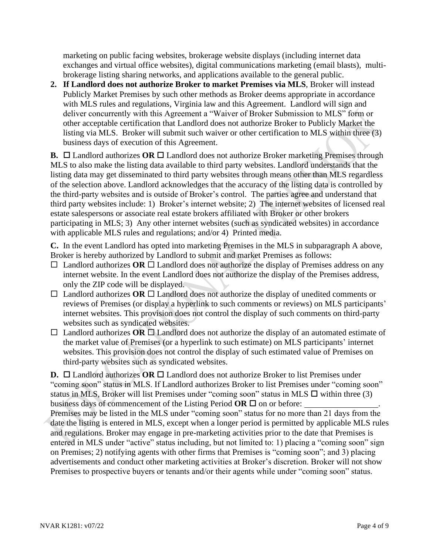marketing on public facing websites, brokerage website displays (including internet data exchanges and virtual office websites), digital communications marketing (email blasts), multibrokerage listing sharing networks, and applications available to the general public.

**2. If Landlord does not authorize Broker to market Premises via MLS**, Broker will instead Publicly Market Premises by such other methods as Broker deems appropriate in accordance with MLS rules and regulations, Virginia law and this Agreement. Landlord will sign and deliver concurrently with this Agreement a "Waiver of Broker Submission to MLS" form or other acceptable certification that Landlord does not authorize Broker to Publicly Market the listing via MLS. Broker will submit such waiver or other certification to MLS within three (3) business days of execution of this Agreement.

**B.** □ Landlord authorizes OR □ Landlord does not authorize Broker marketing Premises through MLS to also make the listing data available to third party websites. Landlord understands that the listing data may get disseminated to third party websites through means other than MLS regardless of the selection above. Landlord acknowledges that the accuracy of the listing data is controlled by the third-party websites and is outside of Broker's control. The parties agree and understand that third party websites include: 1) Broker's internet website; 2) The internet websites of licensed real estate salespersons or associate real estate brokers affiliated with Broker or other brokers participating in MLS; 3) Any other internet websites (such as syndicated websites) in accordance with applicable MLS rules and regulations; and/or 4) Printed media.

**C.** In the event Landlord has opted into marketing Premises in the MLS in subparagraph A above, Broker is hereby authorized by Landlord to submit and market Premises as follows:

- $\Box$  Landlord authorizes **OR**  $\Box$  Landlord does not authorize the display of Premises address on any internet website. In the event Landlord does not authorize the display of the Premises address, only the ZIP code will be displayed.
- $\Box$  Landlord authorizes OR  $\Box$  Landlord does not authorize the display of unedited comments or reviews of Premises (or display a hyperlink to such comments or reviews) on MLS participants' internet websites. This provision does not control the display of such comments on third-party websites such as syndicated websites.
- $\Box$  Landlord authorizes **OR**  $\Box$  Landlord does not authorize the display of an automated estimate of the market value of Premises (or a hyperlink to such estimate) on MLS participants' internet websites. This provision does not control the display of such estimated value of Premises on third-party websites such as syndicated websites.

**D.**  $\Box$  Landlord authorizes **OR**  $\Box$  Landlord does not authorize Broker to list Premises under "coming soon" status in MLS. If Landlord authorizes Broker to list Premises under "coming soon" status in MLS, Broker will list Premises under "coming soon" status in MLS  $\Box$  within three (3) business days of commencement of the Listing Period  $OR \square$  on or before:

Premises may be listed in the MLS under "coming soon" status for no more than 21 days from the date the listing is entered in MLS, except when a longer period is permitted by applicable MLS rules and regulations. Broker may engage in pre-marketing activities prior to the date that Premises is entered in MLS under "active" status including, but not limited to: 1) placing a "coming soon" sign on Premises; 2) notifying agents with other firms that Premises is "coming soon"; and 3) placing advertisements and conduct other marketing activities at Broker's discretion. Broker will not show Premises to prospective buyers or tenants and/or their agents while under "coming soon" status.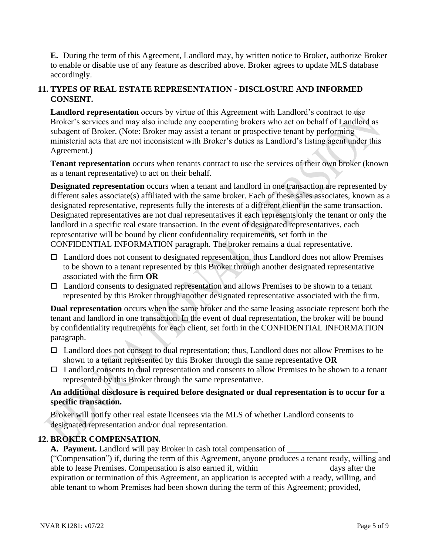**E.** During the term of this Agreement, Landlord may, by written notice to Broker, authorize Broker to enable or disable use of any feature as described above. Broker agrees to update MLS database accordingly.

## **11. TYPES OF REAL ESTATE REPRESENTATION - DISCLOSURE AND INFORMED CONSENT.**

Landlord representation occurs by virtue of this Agreement with Landlord's contract to use Broker's services and may also include any cooperating brokers who act on behalf of Landlord as subagent of Broker. (Note: Broker may assist a tenant or prospective tenant by performing ministerial acts that are not inconsistent with Broker's duties as Landlord's listing agent under this Agreement.)

**Tenant representation** occurs when tenants contract to use the services of their own broker (known as a tenant representative) to act on their behalf.

**Designated representation** occurs when a tenant and landlord in one transaction are represented by different sales associate(s) affiliated with the same broker. Each of these sales associates, known as a designated representative, represents fully the interests of a different client in the same transaction. Designated representatives are not dual representatives if each represents only the tenant or only the landlord in a specific real estate transaction. In the event of designated representatives, each representative will be bound by client confidentiality requirements, set forth in the CONFIDENTIAL INFORMATION paragraph. The broker remains a dual representative.

- $\Box$  Landlord does not consent to designated representation, thus Landlord does not allow Premises to be shown to a tenant represented by this Broker through another designated representative associated with the firm **OR**
- $\Box$  Landlord consents to designated representation and allows Premises to be shown to a tenant represented by this Broker through another designated representative associated with the firm.

**Dual representation** occurs when the same broker and the same leasing associate represent both the tenant and landlord in one transaction. In the event of dual representation, the broker will be bound by confidentiality requirements for each client, set forth in the CONFIDENTIAL INFORMATION paragraph.

- □ Landlord does not consent to dual representation; thus, Landlord does not allow Premises to be shown to a tenant represented by this Broker through the same representative **OR**
- $\Box$  Landlord consents to dual representation and consents to allow Premises to be shown to a tenant represented by this Broker through the same representative.

### **An additional disclosure is required before designated or dual representation is to occur for a specific transaction.**

Broker will notify other real estate licensees via the MLS of whether Landlord consents to designated representation and/or dual representation.

# **12. BROKER COMPENSATION.**

**A. Payment.** Landlord will pay Broker in cash total compensation of

("Compensation") if, during the term of this Agreement, anyone produces a tenant ready, willing and able to lease Premises. Compensation is also earned if, within days after the expiration or termination of this Agreement, an application is accepted with a ready, willing, and able tenant to whom Premises had been shown during the term of this Agreement; provided,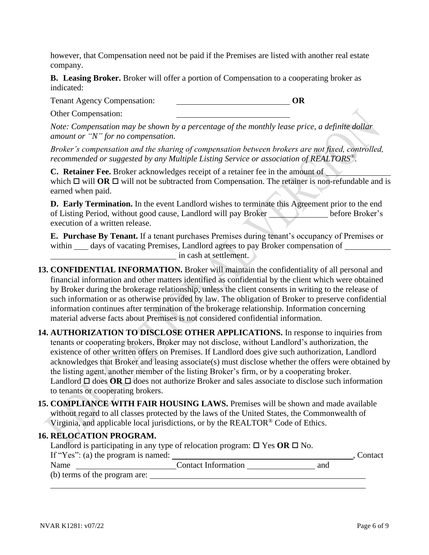however, that Compensation need not be paid if the Premises are listed with another real estate company.

**B. Leasing Broker.** Broker will offer a portion of Compensation to a cooperating broker as indicated:

Tenant Agency Compensation: **OR**

Other Compensation:

*Note: Compensation may be shown by a percentage of the monthly lease price, a definite dollar amount or "N" for no compensation.*

*Broker's compensation and the sharing of compensation between brokers are not fixed, controlled, recommended or suggested by any Multiple Listing Service or association of REALTORS®.*

**C. Retainer Fee.** Broker acknowledges receipt of a retainer fee in the amount of which  $\Box$  will **OR**  $\Box$  will not be subtracted from Compensation. The retainer is non-refundable and is earned when paid.

**D. Early Termination.** In the event Landlord wishes to terminate this Agreement prior to the end of Listing Period, without good cause, Landlord will pay Broker before Broker's execution of a written release.

**E. Purchase By Tenant.** If a tenant purchases Premises during tenant's occupancy of Premises or within \_\_\_\_ days of vacating Premises, Landlord agrees to pay Broker compensation of in cash at settlement.

- **13. CONFIDENTIAL INFORMATION.** Broker will maintain the confidentiality of all personal and financial information and other matters identified as confidential by the client which were obtained by Broker during the brokerage relationship, unless the client consents in writing to the release of such information or as otherwise provided by law. The obligation of Broker to preserve confidential information continues after termination of the brokerage relationship. Information concerning material adverse facts about Premises is not considered confidential information.
- **14. AUTHORIZATION TO DISCLOSE OTHER APPLICATIONS.** In response to inquiries from tenants or cooperating brokers, Broker may not disclose, without Landlord's authorization, the existence of other written offers on Premises. If Landlord does give such authorization, Landlord acknowledges that Broker and leasing associate(s) must disclose whether the offers were obtained by the listing agent, another member of the listing Broker's firm, or by a cooperating broker. Landlord  $\Box$  does **OR**  $\Box$  does not authorize Broker and sales associate to disclose such information to tenants or cooperating brokers.
- **15. COMPLIANCE WITH FAIR HOUSING LAWS.** Premises will be shown and made available without regard to all classes protected by the laws of the United States, the Commonwealth of Virginia, and applicable local jurisdictions, or by the REALTOR® Code of Ethics.

| <b>16. RELOCATION PROGRAM.</b>      | Landlord is participating in any type of relocation program: $\Box$ Yes OR $\Box$ No. |     |         |
|-------------------------------------|---------------------------------------------------------------------------------------|-----|---------|
| If "Yes": (a) the program is named: |                                                                                       |     | Contact |
| Name                                | <b>Contact Information</b>                                                            | and |         |
| (b) terms of the program are:       |                                                                                       |     |         |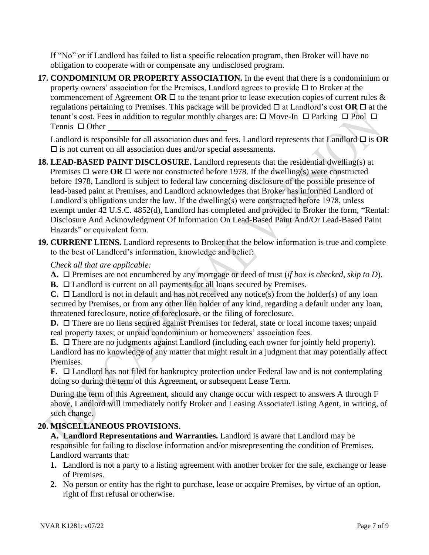If "No" or if Landlord has failed to list a specific relocation program, then Broker will have no obligation to cooperate with or compensate any undisclosed program.

**17. CONDOMINIUM OR PROPERTY ASSOCIATION.** In the event that there is a condominium or property owners' association for the Premises, Landlord agrees to provide  $\Box$  to Broker at the commencement of Agreement **OR**  $\Box$  to the tenant prior to lease execution copies of current rules  $\&$ regulations pertaining to Premises. This package will be provided  $\Box$  at Landlord's cost  $\overline{OR} \Box$  at the tenant's cost. Fees in addition to regular monthly charges are:  $\Box$  Move-In  $\Box$  Parking  $\Box$  Pool  $\Box$ Tennis  $\Box$  Other

Landlord is responsible for all association dues and fees. Landlord represents that Landlord  $\Box$  is  $\overrightarrow{OR}$  $\square$  is not current on all association dues and/or special assessments.

- **18. LEAD-BASED PAINT DISCLOSURE.** Landlord represents that the residential dwelling(s) at Premises  $\Box$  were  $\overline{OR}$   $\Box$  were not constructed before 1978. If the dwelling(s) were constructed before 1978, Landlord is subject to federal law concerning disclosure of the possible presence of lead-based paint at Premises, and Landlord acknowledges that Broker has informed Landlord of Landlord's obligations under the law. If the dwelling(s) were constructed before 1978, unless exempt under 42 U.S.C. 4852(d), Landlord has completed and provided to Broker the form, "Rental: Disclosure And Acknowledgment Of Information On Lead-Based Paint And/Or Lead-Based Paint Hazards" or equivalent form.
- **19. CURRENT LIENS.** Landlord represents to Broker that the below information is true and complete to the best of Landlord's information, knowledge and belief:

### *Check all that are applicable:*

- **A.** Premises are not encumbered by any mortgage or deed of trust (*if box is checked, skip to D*).
- **B.** □ Landlord is current on all payments for all loans secured by Premises.

**C.**  $\Box$  Landlord is not in default and has not received any notice(s) from the holder(s) of any loan secured by Premises, or from any other lien holder of any kind, regarding a default under any loan, threatened foreclosure, notice of foreclosure, or the filing of foreclosure.

**D.** □ There are no liens secured against Premises for federal, state or local income taxes; unpaid real property taxes; or unpaid condominium or homeowners' association fees.

**E.** □ There are no judgments against Landlord (including each owner for jointly held property). Landlord has no knowledge of any matter that might result in a judgment that may potentially affect Premises.

**F.**  $\Box$  Landlord has not filed for bankruptcy protection under Federal law and is not contemplating doing so during the term of this Agreement, or subsequent Lease Term.

During the term of this Agreement, should any change occur with respect to answers A through F above, Landlord will immediately notify Broker and Leasing Associate/Listing Agent, in writing, of such change.

### **20. MISCELLANEOUS PROVISIONS.**

**A. Landlord Representations and Warranties.** Landlord is aware that Landlord may be responsible for failing to disclose information and/or misrepresenting the condition of Premises. Landlord warrants that:

- **1.** Landlord is not a party to a listing agreement with another broker for the sale, exchange or lease of Premises.
- **2.** No person or entity has the right to purchase, lease or acquire Premises, by virtue of an option, right of first refusal or otherwise.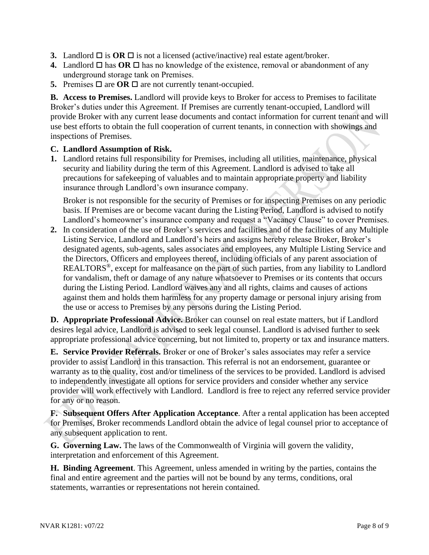- **3.** Landlord  $\Box$  is **OR**  $\Box$  is not a licensed (active/inactive) real estate agent/broker.
- **4.** Landlord  $\Box$  has **OR**  $\Box$  has no knowledge of the existence, removal or abandonment of any underground storage tank on Premises.
- **5.** Premises  $\Box$  are **OR**  $\Box$  are not currently tenant-occupied.

**B. Access to Premises.** Landlord will provide keys to Broker for access to Premises to facilitate Broker's duties under this Agreement. If Premises are currently tenant-occupied, Landlord will provide Broker with any current lease documents and contact information for current tenant and will use best efforts to obtain the full cooperation of current tenants, in connection with showings and inspections of Premises.

#### **C. Landlord Assumption of Risk.**

**1.** Landlord retains full responsibility for Premises, including all utilities, maintenance, physical security and liability during the term of this Agreement. Landlord is advised to take all precautions for safekeeping of valuables and to maintain appropriate property and liability insurance through Landlord's own insurance company.

Broker is not responsible for the security of Premises or for inspecting Premises on any periodic basis. If Premises are or become vacant during the Listing Period, Landlord is advised to notify Landlord's homeowner's insurance company and request a "Vacancy Clause" to cover Premises.

**2.** In consideration of the use of Broker's services and facilities and of the facilities of any Multiple Listing Service, Landlord and Landlord's heirs and assigns hereby release Broker, Broker's designated agents, sub-agents, sales associates and employees, any Multiple Listing Service and the Directors, Officers and employees thereof, including officials of any parent association of REALTORS®, except for malfeasance on the part of such parties, from any liability to Landlord for vandalism, theft or damage of any nature whatsoever to Premises or its contents that occurs during the Listing Period. Landlord waives any and all rights, claims and causes of actions against them and holds them harmless for any property damage or personal injury arising from the use or access to Premises by any persons during the Listing Period.

**D. Appropriate Professional Advice.** Broker can counsel on real estate matters, but if Landlord desires legal advice, Landlord is advised to seek legal counsel. Landlord is advised further to seek appropriate professional advice concerning, but not limited to, property or tax and insurance matters.

**E. Service Provider Referrals.** Broker or one of Broker's sales associates may refer a service provider to assist Landlord in this transaction. This referral is not an endorsement, guarantee or warranty as to the quality, cost and/or timeliness of the services to be provided. Landlord is advised to independently investigate all options for service providers and consider whether any service provider will work effectively with Landlord. Landlord is free to reject any referred service provider for any or no reason.

**F. Subsequent Offers After Application Acceptance**. After a rental application has been accepted for Premises, Broker recommends Landlord obtain the advice of legal counsel prior to acceptance of any subsequent application to rent.

**G. Governing Law.** The laws of the Commonwealth of Virginia will govern the validity, interpretation and enforcement of this Agreement.

**H. Binding Agreement**. This Agreement, unless amended in writing by the parties, contains the final and entire agreement and the parties will not be bound by any terms, conditions, oral statements, warranties or representations not herein contained.